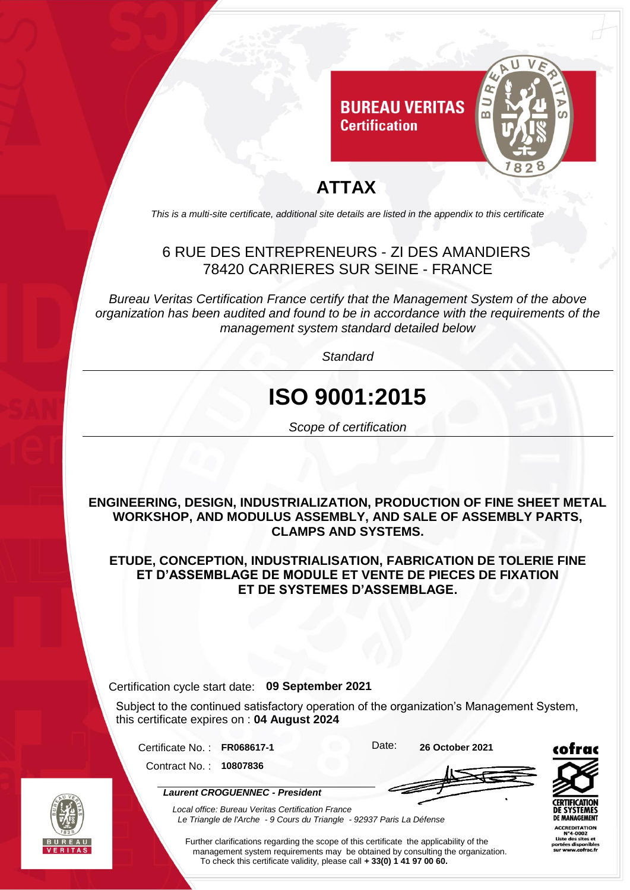

### **ATTAX**

*This is a multi-site certificate, additional site details are listed in the appendix to this certificate*

### 6 RUE DES ENTREPRENEURS - ZI DES AMANDIERS 78420 CARRIERES SUR SEINE - FRANCE

*Bureau Veritas Certification France certify that the Management System of the above organization has been audited and found to be in accordance with the requirements of the management system standard detailed below*

*Standard*

# **ISO 9001:2015**

*Scope of certification*

**ENGINEERING, DESIGN, INDUSTRIALIZATION, PRODUCTION OF FINE SHEET METAL WORKSHOP, AND MODULUS ASSEMBLY, AND SALE OF ASSEMBLY PARTS, CLAMPS AND SYSTEMS.**

**ETUDE, CONCEPTION, INDUSTRIALISATION, FABRICATION DE TOLERIE FINE ET D'ASSEMBLAGE DE MODULE ET VENTE DE PIECES DE FIXATION ET DE SYSTEMES D'ASSEMBLAGE.**

#### Certification cycle start date: **09 September 2021**

*Laurent CROGUENNEC - President*

Subject to the continued satisfactory operation of the organization's Management System, this certificate expires on : **04 August 2024**

Certificate No. : **FR068617-1** Date: **26 October 2021** Contract No. : **10807836**



MANAGEMENT CREDITATION s sit es dispo

*Local office: Bureau Veritas Certification France Le Triangle de l'Arche - 9 Cours du Triangle - 92937 Paris La Défense*

Further clarifications regarding the scope of this certificate the applicability of the management system requirements may be obtained by consulting the organization. To check this certificate validity, please call **+ 33(0) 1 41 97 00 60.**